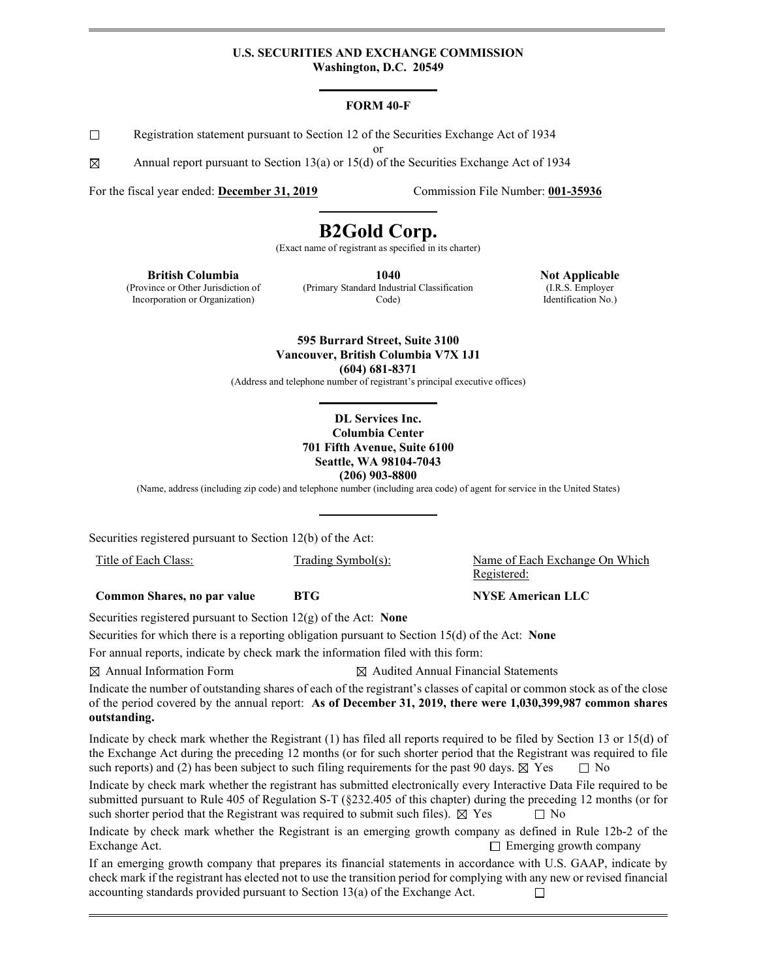#### **U.S. SECURITIES AND EXCHANGE COMMISSION Washington, D.C. 20549**

#### **FORM 40-F**

 $\Box$ Registration statement pursuant to Section 12 of the Securities Exchange Act of 1934

or

⊠ Annual report pursuant to Section 13(a) or 15(d) of the Securities Exchange Act of 1934

For the fiscal year ended: **December 31, 2019** Commission File Number: **001-35936**

# **B2Gold Corp.**

(Exact name of registrant as specified in its charter)

**British Columbia**

(Province or Other Jurisdiction of Incorporation or Organization)

**1040** (Primary Standard Industrial Classification Code)

**Not Applicable** (I.R.S. Employer Identification No.)

**595 Burrard Street, Suite 3100 Vancouver, British Columbia V7X 1J1 (604) 681-8371**

(Address and telephone number of registrant's principal executive offices)

#### **DL Services Inc. Columbia Center 701 Fifth Avenue, Suite 6100 Seattle, WA 98104-7043 (206) 903-8800**

(Name, address (including zip code) and telephone number (including area code) of agent for service in the United States)

Securities registered pursuant to Section 12(b) of the Act:

**Common Shares, no par value <b>BTG NYSE American LLC** 

Securities registered pursuant to Section 12(g) of the Act: **None**

Securities for which there is a reporting obligation pursuant to Section 15(d) of the Act: **None**

For annual reports, indicate by check mark the information filed with this form:

 $\boxtimes$  Annual Information Form  $\boxtimes$  Audited Annual Financial Statements

Indicate the number of outstanding shares of each of the registrant's classes of capital or common stock as of the close of the period covered by the annual report: **As of December 31, 2019, there were 1,030,399,987 common shares outstanding.**

Indicate by check mark whether the Registrant (1) has filed all reports required to be filed by Section 13 or 15(d) of the Exchange Act during the preceding 12 months (or for such shorter period that the Registrant was required to file such reports) and (2) has been subject to such filing requirements for the past 90 days.  $\boxtimes$  Yes  $\Box$  No

Indicate by check mark whether the registrant has submitted electronically every Interactive Data File required to be submitted pursuant to Rule 405 of Regulation S-T (§232.405 of this chapter) during the preceding 12 months (or for such shorter period that the Registrant was required to submit such files).  $\boxtimes$  Yes  $\Box$  No

Indicate by check mark whether the Registrant is an emerging growth company as defined in Rule 12b-2 of the Exchange Act.  $\Box$  Emerging growth company

If an emerging growth company that prepares its financial statements in accordance with U.S. GAAP, indicate by check mark if the registrant has elected not to use the transition period for complying with any new or revised financial accounting standards provided pursuant to Section 13(a) of the Exchange Act. □

Title of Each Class: Trading Symbol(s): Name of Each Exchange On Which Registered: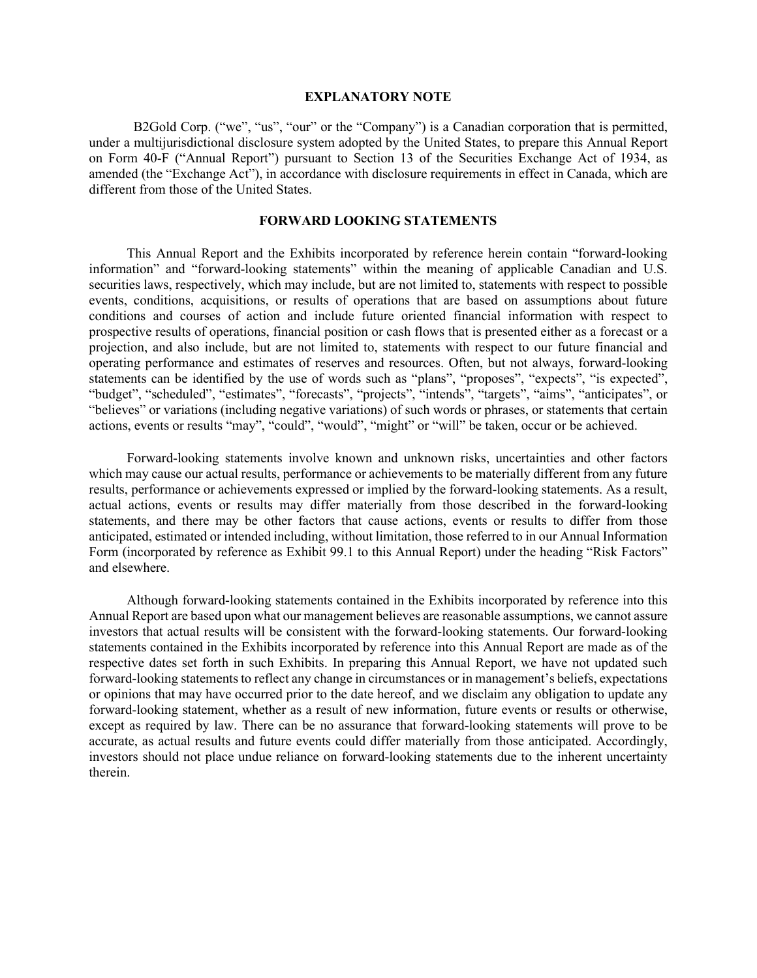#### **EXPLANATORY NOTE**

B2Gold Corp. ("we", "us", "our" or the "Company") is a Canadian corporation that is permitted, under a multijurisdictional disclosure system adopted by the United States, to prepare this Annual Report on Form 40-F ("Annual Report") pursuant to Section 13 of the Securities Exchange Act of 1934, as amended (the "Exchange Act"), in accordance with disclosure requirements in effect in Canada, which are different from those of the United States.

### **FORWARD LOOKING STATEMENTS**

This Annual Report and the Exhibits incorporated by reference herein contain "forward-looking information" and "forward-looking statements" within the meaning of applicable Canadian and U.S. securities laws, respectively, which may include, but are not limited to, statements with respect to possible events, conditions, acquisitions, or results of operations that are based on assumptions about future conditions and courses of action and include future oriented financial information with respect to prospective results of operations, financial position or cash flows that is presented either as a forecast or a projection, and also include, but are not limited to, statements with respect to our future financial and operating performance and estimates of reserves and resources. Often, but not always, forward-looking statements can be identified by the use of words such as "plans", "proposes", "expects", "is expected", "budget", "scheduled", "estimates", "forecasts", "projects", "intends", "targets", "aims", "anticipates", or "believes" or variations (including negative variations) of such words or phrases, or statements that certain actions, events or results "may", "could", "would", "might" or "will" be taken, occur or be achieved.

Forward-looking statements involve known and unknown risks, uncertainties and other factors which may cause our actual results, performance or achievements to be materially different from any future results, performance or achievements expressed or implied by the forward-looking statements. As a result, actual actions, events or results may differ materially from those described in the forward-looking statements, and there may be other factors that cause actions, events or results to differ from those anticipated, estimated or intended including, without limitation, those referred to in our Annual Information Form (incorporated by reference as Exhibit 99.1 to this Annual Report) under the heading "Risk Factors" and elsewhere.

Although forward-looking statements contained in the Exhibits incorporated by reference into this Annual Report are based upon what our management believes are reasonable assumptions, we cannot assure investors that actual results will be consistent with the forward-looking statements. Our forward-looking statements contained in the Exhibits incorporated by reference into this Annual Report are made as of the respective dates set forth in such Exhibits. In preparing this Annual Report, we have not updated such forward-looking statements to reflect any change in circumstances or in management's beliefs, expectations or opinions that may have occurred prior to the date hereof, and we disclaim any obligation to update any forward-looking statement, whether as a result of new information, future events or results or otherwise, except as required by law. There can be no assurance that forward-looking statements will prove to be accurate, as actual results and future events could differ materially from those anticipated. Accordingly, investors should not place undue reliance on forward-looking statements due to the inherent uncertainty therein.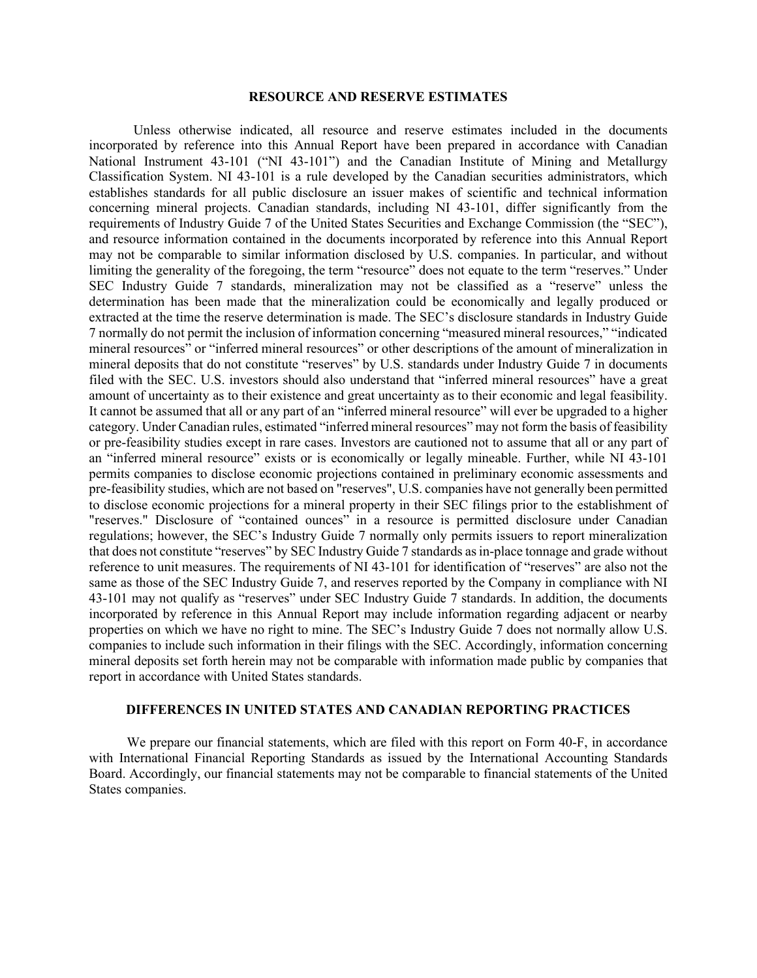#### **RESOURCE AND RESERVE ESTIMATES**

Unless otherwise indicated, all resource and reserve estimates included in the documents incorporated by reference into this Annual Report have been prepared in accordance with Canadian National Instrument 43-101 ("NI 43-101") and the Canadian Institute of Mining and Metallurgy Classification System. NI 43-101 is a rule developed by the Canadian securities administrators, which establishes standards for all public disclosure an issuer makes of scientific and technical information concerning mineral projects. Canadian standards, including NI 43-101, differ significantly from the requirements of Industry Guide 7 of the United States Securities and Exchange Commission (the "SEC"), and resource information contained in the documents incorporated by reference into this Annual Report may not be comparable to similar information disclosed by U.S. companies. In particular, and without limiting the generality of the foregoing, the term "resource" does not equate to the term "reserves." Under SEC Industry Guide 7 standards, mineralization may not be classified as a "reserve" unless the determination has been made that the mineralization could be economically and legally produced or extracted at the time the reserve determination is made. The SEC's disclosure standards in Industry Guide 7 normally do not permit the inclusion of information concerning "measured mineral resources," "indicated mineral resources" or "inferred mineral resources" or other descriptions of the amount of mineralization in mineral deposits that do not constitute "reserves" by U.S. standards under Industry Guide 7 in documents filed with the SEC. U.S. investors should also understand that "inferred mineral resources" have a great amount of uncertainty as to their existence and great uncertainty as to their economic and legal feasibility. It cannot be assumed that all or any part of an "inferred mineral resource" will ever be upgraded to a higher category. Under Canadian rules, estimated "inferred mineral resources" may not form the basis of feasibility or pre-feasibility studies except in rare cases. Investors are cautioned not to assume that all or any part of an "inferred mineral resource" exists or is economically or legally mineable. Further, while NI 43-101 permits companies to disclose economic projections contained in preliminary economic assessments and pre-feasibility studies, which are not based on "reserves", U.S. companies have not generally been permitted to disclose economic projections for a mineral property in their SEC filings prior to the establishment of "reserves." Disclosure of "contained ounces" in a resource is permitted disclosure under Canadian regulations; however, the SEC's Industry Guide 7 normally only permits issuers to report mineralization that does not constitute "reserves" by SEC Industry Guide 7 standards as in-place tonnage and grade without reference to unit measures. The requirements of NI 43-101 for identification of "reserves" are also not the same as those of the SEC Industry Guide 7, and reserves reported by the Company in compliance with NI 43-101 may not qualify as "reserves" under SEC Industry Guide 7 standards. In addition, the documents incorporated by reference in this Annual Report may include information regarding adjacent or nearby properties on which we have no right to mine. The SEC's Industry Guide 7 does not normally allow U.S. companies to include such information in their filings with the SEC. Accordingly, information concerning mineral deposits set forth herein may not be comparable with information made public by companies that report in accordance with United States standards.

## **DIFFERENCES IN UNITED STATES AND CANADIAN REPORTING PRACTICES**

We prepare our financial statements, which are filed with this report on Form 40-F, in accordance with International Financial Reporting Standards as issued by the International Accounting Standards Board. Accordingly, our financial statements may not be comparable to financial statements of the United States companies.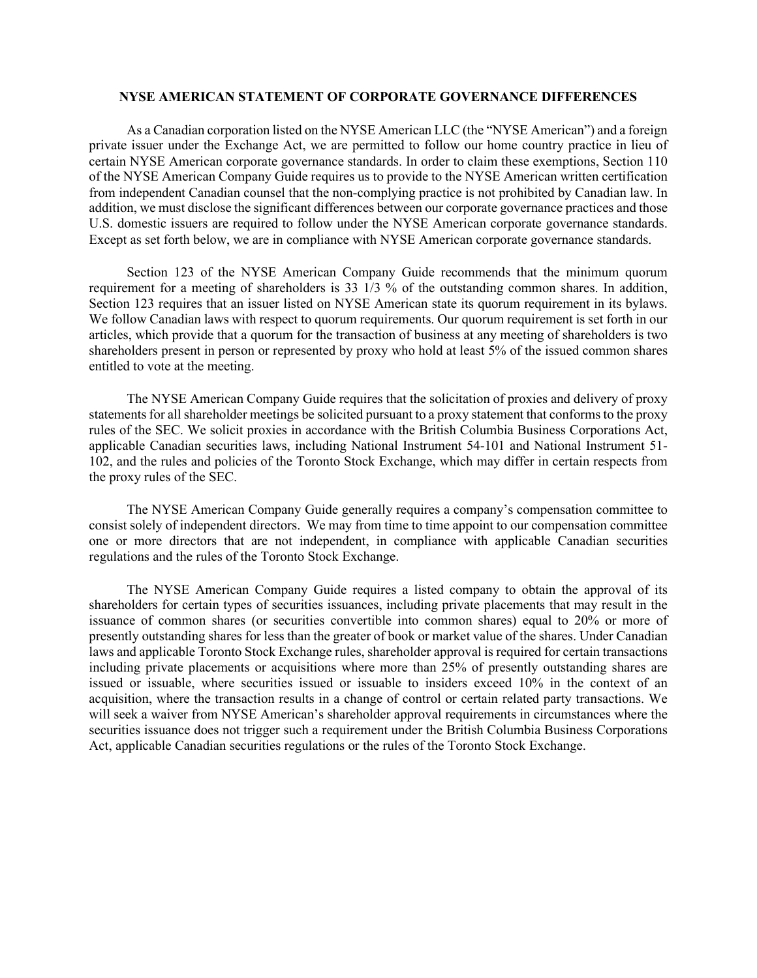#### **NYSE AMERICAN STATEMENT OF CORPORATE GOVERNANCE DIFFERENCES**

As a Canadian corporation listed on the NYSE American LLC (the "NYSE American") and a foreign private issuer under the Exchange Act, we are permitted to follow our home country practice in lieu of certain NYSE American corporate governance standards. In order to claim these exemptions, Section 110 of the NYSE American Company Guide requires us to provide to the NYSE American written certification from independent Canadian counsel that the non-complying practice is not prohibited by Canadian law. In addition, we must disclose the significant differences between our corporate governance practices and those U.S. domestic issuers are required to follow under the NYSE American corporate governance standards. Except as set forth below, we are in compliance with NYSE American corporate governance standards.

Section 123 of the NYSE American Company Guide recommends that the minimum quorum requirement for a meeting of shareholders is 33 1/3 % of the outstanding common shares. In addition, Section 123 requires that an issuer listed on NYSE American state its quorum requirement in its bylaws. We follow Canadian laws with respect to quorum requirements. Our quorum requirement is set forth in our articles, which provide that a quorum for the transaction of business at any meeting of shareholders is two shareholders present in person or represented by proxy who hold at least 5% of the issued common shares entitled to vote at the meeting.

The NYSE American Company Guide requires that the solicitation of proxies and delivery of proxy statements for all shareholder meetings be solicited pursuant to a proxy statement that conforms to the proxy rules of the SEC. We solicit proxies in accordance with the British Columbia Business Corporations Act, applicable Canadian securities laws, including National Instrument 54-101 and National Instrument 51- 102, and the rules and policies of the Toronto Stock Exchange, which may differ in certain respects from the proxy rules of the SEC.

The NYSE American Company Guide generally requires a company's compensation committee to consist solely of independent directors. We may from time to time appoint to our compensation committee one or more directors that are not independent, in compliance with applicable Canadian securities regulations and the rules of the Toronto Stock Exchange.

The NYSE American Company Guide requires a listed company to obtain the approval of its shareholders for certain types of securities issuances, including private placements that may result in the issuance of common shares (or securities convertible into common shares) equal to 20% or more of presently outstanding shares for less than the greater of book or market value of the shares. Under Canadian laws and applicable Toronto Stock Exchange rules, shareholder approval is required for certain transactions including private placements or acquisitions where more than 25% of presently outstanding shares are issued or issuable, where securities issued or issuable to insiders exceed 10% in the context of an acquisition, where the transaction results in a change of control or certain related party transactions. We will seek a waiver from NYSE American's shareholder approval requirements in circumstances where the securities issuance does not trigger such a requirement under the British Columbia Business Corporations Act, applicable Canadian securities regulations or the rules of the Toronto Stock Exchange.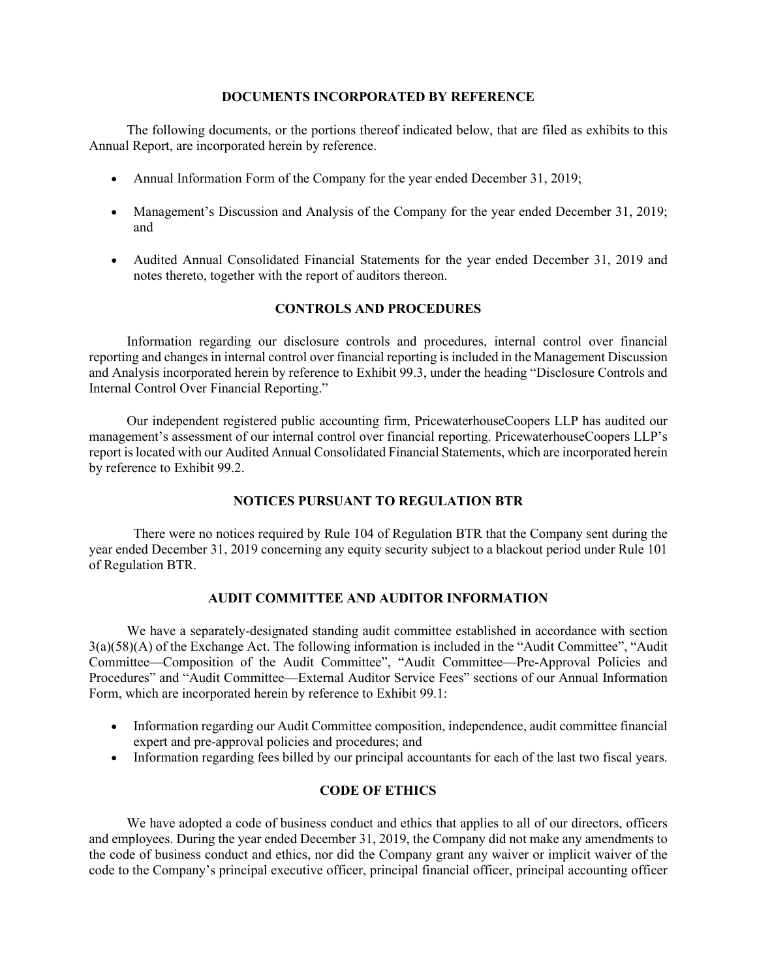#### **DOCUMENTS INCORPORATED BY REFERENCE**

The following documents, or the portions thereof indicated below, that are filed as exhibits to this Annual Report, are incorporated herein by reference.

- Annual Information Form of the Company for the year ended December 31, 2019;
- Management's Discussion and Analysis of the Company for the year ended December 31, 2019; and
- Audited Annual Consolidated Financial Statements for the year ended December 31, 2019 and notes thereto, together with the report of auditors thereon.

## **CONTROLS AND PROCEDURES**

Information regarding our disclosure controls and procedures, internal control over financial reporting and changes in internal control over financial reporting is included in the Management Discussion and Analysis incorporated herein by reference to Exhibit 99.3, under the heading "Disclosure Controls and Internal Control Over Financial Reporting."

Our independent registered public accounting firm, PricewaterhouseCoopers LLP has audited our management's assessment of our internal control over financial reporting. PricewaterhouseCoopers LLP's report is located with our Audited Annual Consolidated Financial Statements, which are incorporated herein by reference to Exhibit 99.2.

#### **NOTICES PURSUANT TO REGULATION BTR**

There were no notices required by Rule 104 of Regulation BTR that the Company sent during the year ended December 31, 2019 concerning any equity security subject to a blackout period under Rule 101 of Regulation BTR.

## **AUDIT COMMITTEE AND AUDITOR INFORMATION**

We have a separately-designated standing audit committee established in accordance with section 3(a)(58)(A) of the Exchange Act. The following information is included in the "Audit Committee", "Audit Committee—Composition of the Audit Committee", "Audit Committee—Pre-Approval Policies and Procedures" and "Audit Committee—External Auditor Service Fees" sections of our Annual Information Form, which are incorporated herein by reference to Exhibit 99.1:

- Information regarding our Audit Committee composition, independence, audit committee financial expert and pre-approval policies and procedures; and
- Information regarding fees billed by our principal accountants for each of the last two fiscal years.

## **CODE OF ETHICS**

We have adopted a code of business conduct and ethics that applies to all of our directors, officers and employees. During the year ended December 31, 2019, the Company did not make any amendments to the code of business conduct and ethics, nor did the Company grant any waiver or implicit waiver of the code to the Company's principal executive officer, principal financial officer, principal accounting officer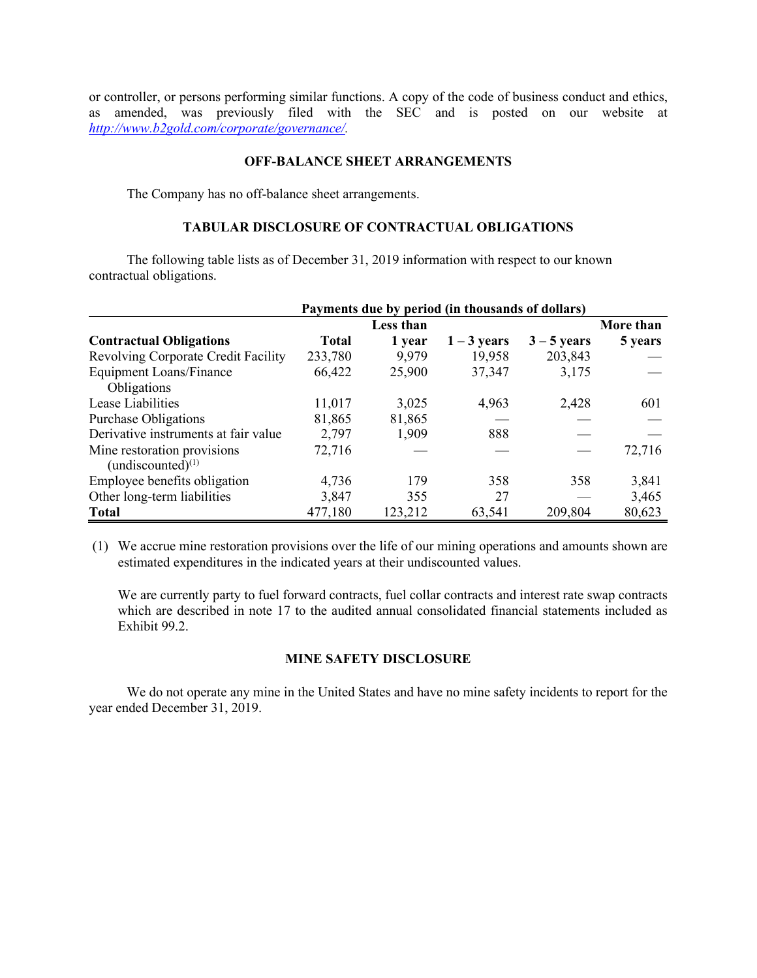or controller, or persons performing similar functions. A copy of the code of business conduct and ethics, as amended, was previously filed with the SEC and is posted on our website at *[http://www.b2gold.com/corporate/governance/.](http://www.b2gold.com/corporate/governance/)*

## **OFF-BALANCE SHEET ARRANGEMENTS**

The Company has no off-balance sheet arrangements.

## **TABULAR DISCLOSURE OF CONTRACTUAL OBLIGATIONS**

The following table lists as of December 31, 2019 information with respect to our known contractual obligations.

|                                      | Payments due by period (in thousands of dollars) |           |               |               |           |
|--------------------------------------|--------------------------------------------------|-----------|---------------|---------------|-----------|
|                                      |                                                  | Less than |               |               | More than |
| <b>Contractual Obligations</b>       | <b>Total</b>                                     | 1 year    | $1 - 3$ years | $3 - 5$ years | 5 years   |
| Revolving Corporate Credit Facility  | 233,780                                          | 9,979     | 19,958        | 203,843       |           |
| <b>Equipment Loans/Finance</b>       | 66,422                                           | 25,900    | 37,347        | 3,175         |           |
| Obligations                          |                                                  |           |               |               |           |
| Lease Liabilities                    | 11,017                                           | 3,025     | 4,963         | 2,428         | 601       |
| Purchase Obligations                 | 81,865                                           | 81,865    |               |               |           |
| Derivative instruments at fair value | 2,797                                            | 1,909     | 888           |               |           |
| Mine restoration provisions          | 72,716                                           |           |               |               | 72,716    |
| (undiscounted) $(1)$                 |                                                  |           |               |               |           |
| Employee benefits obligation         | 4,736                                            | 179       | 358           | 358           | 3,841     |
| Other long-term liabilities          | 3,847                                            | 355       | 27            |               | 3,465     |
| <b>Total</b>                         | 477,180                                          | 123,212   | 63,541        | 209,804       | 80,623    |

(1) We accrue mine restoration provisions over the life of our mining operations and amounts shown are estimated expenditures in the indicated years at their undiscounted values.

We are currently party to fuel forward contracts, fuel collar contracts and interest rate swap contracts which are described in note 17 to the audited annual consolidated financial statements included as Exhibit 99.2.

## **MINE SAFETY DISCLOSURE**

We do not operate any mine in the United States and have no mine safety incidents to report for the year ended December 31, 2019.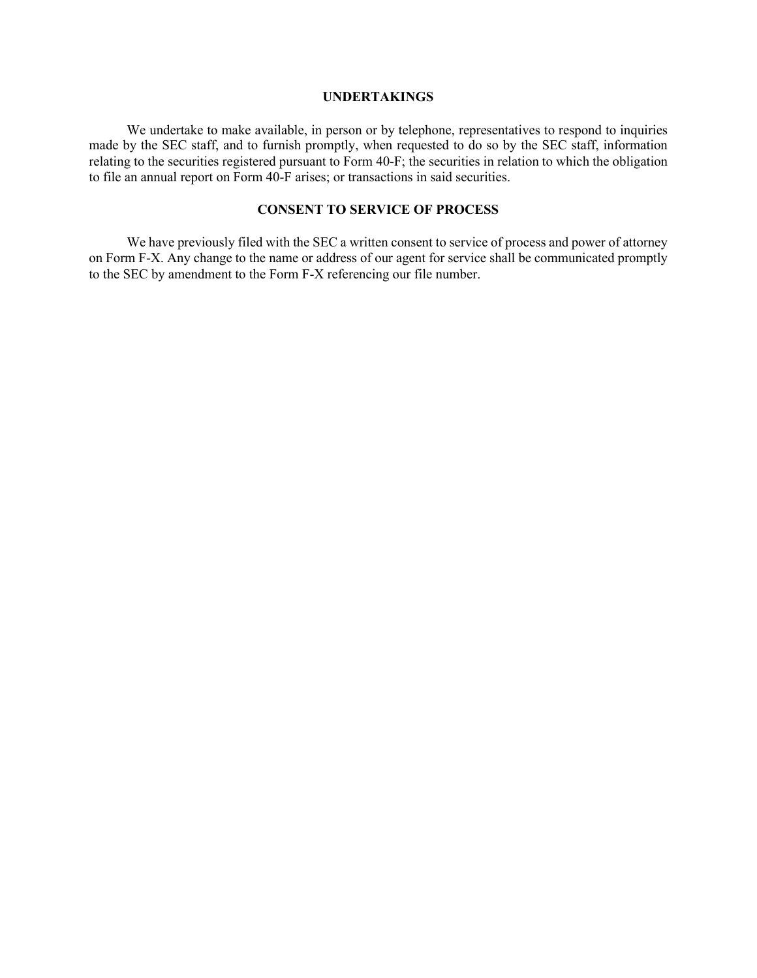#### **UNDERTAKINGS**

We undertake to make available, in person or by telephone, representatives to respond to inquiries made by the SEC staff, and to furnish promptly, when requested to do so by the SEC staff, information relating to the securities registered pursuant to Form 40-F; the securities in relation to which the obligation to file an annual report on Form 40-F arises; or transactions in said securities.

## **CONSENT TO SERVICE OF PROCESS**

We have previously filed with the SEC a written consent to service of process and power of attorney on Form F-X. Any change to the name or address of our agent for service shall be communicated promptly to the SEC by amendment to the Form F-X referencing our file number.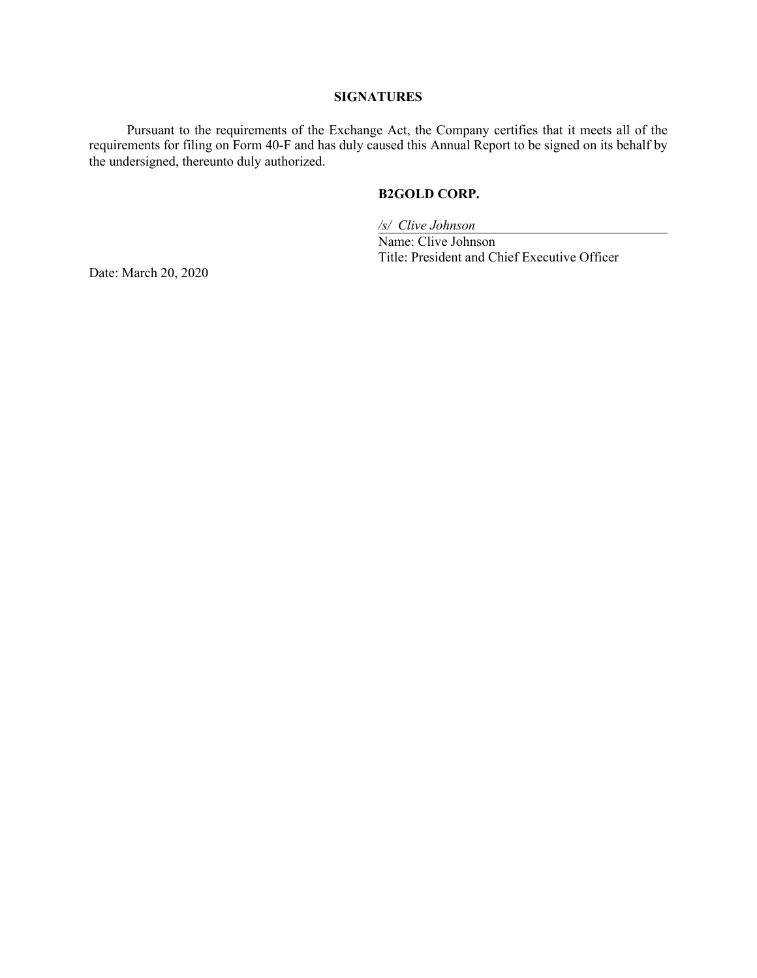## **SIGNATURES**

Pursuant to the requirements of the Exchange Act, the Company certifies that it meets all of the requirements for filing on Form 40-F and has duly caused this Annual Report to be signed on its behalf by the undersigned, thereunto duly authorized.

## **B2GOLD CORP.**

*/s/ Clive Johnson*

Name: Clive Johnson Title: President and Chief Executive Officer

Date: March 20, 2020